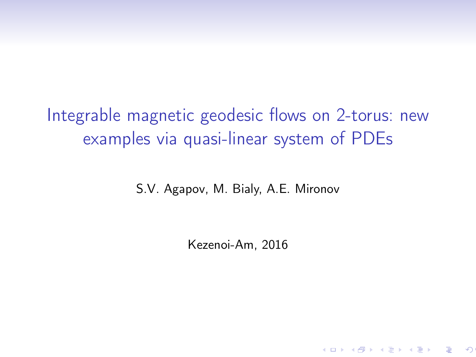Integrable magnetic geodesic flows on 2-torus: new examples via quasi-linear system of PDEs

S.V. Agapov, M. Bialy, A.E. Mironov

Kezenoi-Am, 2016

イロト イ母ト イヨト イヨト ( ヨータ)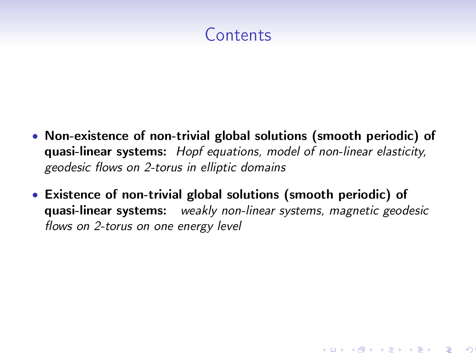# Contents

- Non-existence of non-trivial global solutions (smooth periodic) of quasi-linear systems: Hopf equations, model of non-linear elasticity, geodesic flows on 2-torus in elliptic domains
- Existence of non-trivial global solutions (smooth periodic) of quasi-linear systems: weakly non-linear systems, magnetic geodesic flows on 2-torus on one energy level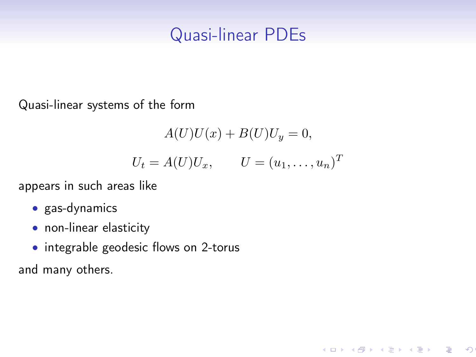# Quasi-linear PDEs

Quasi-linear systems of the form

$$
A(U)U(x) + B(U)U_y = 0,
$$
  

$$
U_t = A(U)U_x, \qquad U = (u_1, \dots, u_n)^T
$$

K ロ K イ団 K K モ K K モ K シ ( ヨート K H )

appears in such areas like

- gas-dynamics
- non-linear elasticity
- integrable geodesic flows on 2-torus

and many others.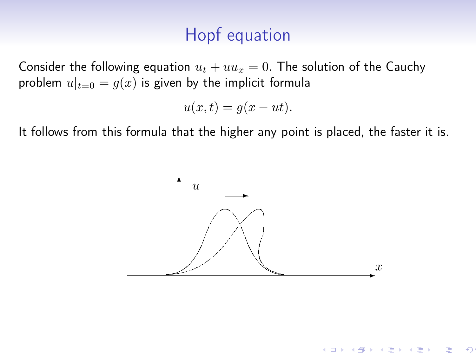# Hopf equation

Consider the following equation  $u_t + uu_x = 0$ . The solution of the Cauchy problem  $u|_{t=0} = g(x)$  is given by the implicit formula

$$
u(x,t) = g(x - ut).
$$

It follows from this formula that the higher any point is placed, the faster it is.

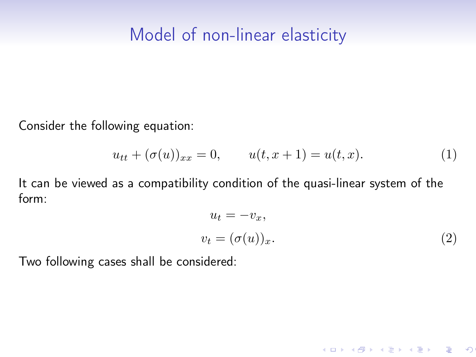Consider the following equation:

$$
u_{tt} + (\sigma(u))_{xx} = 0, \qquad u(t, x + 1) = u(t, x). \tag{1}
$$

It can be viewed as a compatibility condition of the quasi-linear system of the form:

$$
u_t = -v_x,
$$
  

$$
v_t = (\sigma(u))_x.
$$
 (2)

K ロ X K @ X K 할 X K 할 X ( 할 ) ④

Two following cases shall be considered: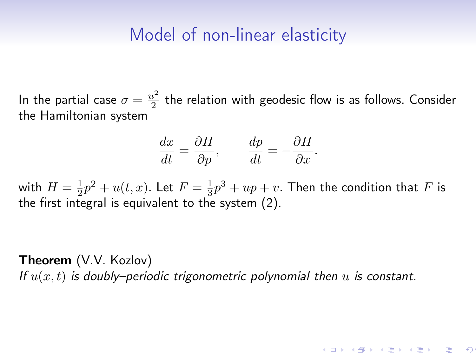In the partial case  $\sigma = \frac{u^2}{2}$  $\frac{1}{2}$  the relation with geodesic flow is as follows. Consider the Hamiltonian system

$$
\frac{dx}{dt} = \frac{\partial H}{\partial p}, \qquad \frac{dp}{dt} = -\frac{\partial H}{\partial x}.
$$

with  $H = \frac{1}{2}p^2 + u(t, x)$ . Let  $F = \frac{1}{3}p^3 + up + v$ . Then the condition that  $F$  is the first integral is equivalent to the system (2).

Theorem (V.V. Kozlov) If  $u(x, t)$  is doubly–periodic trigonometric polynomial then u is constant.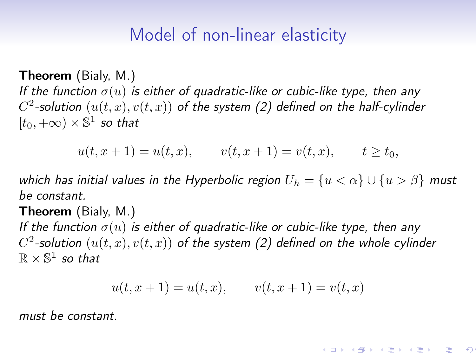Theorem (Bialy, M.) If the function  $\sigma(u)$  is either of quadratic-like or cubic-like type, then any  $C^2$ -solution  $\left( u(t,x),v(t,x) \right)$  of the system (2) defined on the half-cylinder  $[t_0, +\infty) \times \mathbb{S}^1$  so that

 $u(t, x + 1) = u(t, x), \qquad v(t, x + 1) = v(t, x), \qquad t > t_0,$ 

which has initial values in the Hyperbolic region  $U_h = \{u < \alpha\} \cup \{u > \beta\}$  must be constant.

Theorem (Bialy, M.)

If the function  $\sigma(u)$  is either of quadratic-like or cubic-like type, then any  $C^2$ -solution  $(u(t, x), v(t, x))$  of the system (2) defined on the whole cylinder  $\mathbb{R} \times \mathbb{S}^1$  so that

$$
u(t, x + 1) = u(t, x), \qquad v(t, x + 1) = v(t, x)
$$

must be constant.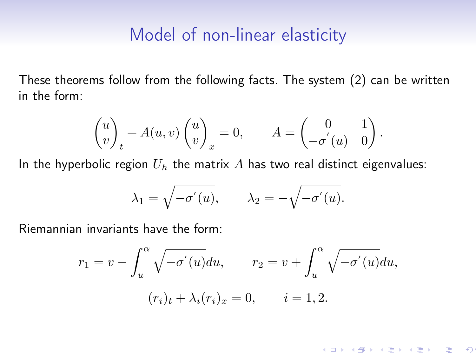These theorems follow from the following facts. The system (2) can be written in the form:

$$
\begin{pmatrix} u \\ v \end{pmatrix}_t + A(u, v) \begin{pmatrix} u \\ v \end{pmatrix}_x = 0, \qquad A = \begin{pmatrix} 0 & 1 \\ -\sigma'(u) & 0 \end{pmatrix}.
$$

In the hyperbolic region  $U_h$  the matrix A has two real distinct eigenvalues:

$$
\lambda_1 = \sqrt{-\sigma'(u)}, \qquad \lambda_2 = -\sqrt{-\sigma'(u)}.
$$

Riemannian invariants have the form:

$$
r_1 = v - \int_u^{\alpha} \sqrt{-\sigma'(u)} du, \qquad r_2 = v + \int_u^{\alpha} \sqrt{-\sigma'(u)} du,
$$

$$
(r_i)_t + \lambda_i(r_i)_x = 0, \qquad i = 1, 2.
$$

 $\infty$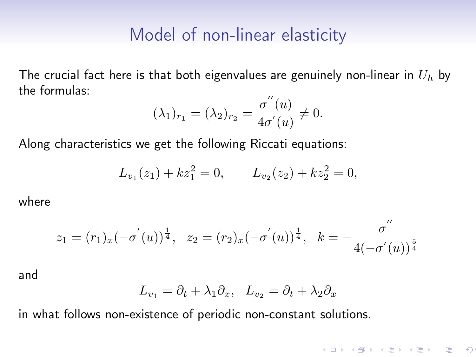The crucial fact here is that both eigenvalues are genuinely non-linear in  $U_h$  by the formulas:

$$
(\lambda_1)_{r_1} = (\lambda_2)_{r_2} = \frac{\sigma''(u)}{4\sigma'(u)} \neq 0.
$$

Along characteristics we get the following Riccati equations:

$$
L_{v_1}(z_1) + kz_1^2 = 0, \qquad L_{v_2}(z_2) + kz_2^2 = 0,
$$

where

$$
z_1 = (r_1)_x(-\sigma'(u))^{\frac{1}{4}}, \quad z_2 = (r_2)_x(-\sigma'(u))^{\frac{1}{4}}, \quad k = -\frac{\sigma''}{4(-\sigma'(u))^{\frac{5}{4}}}
$$

and

$$
L_{v_1} = \partial_t + \lambda_1 \partial_x, \quad L_{v_2} = \partial_t + \lambda_2 \partial_x
$$

in what follows non-existence of periodic non-constant solutions.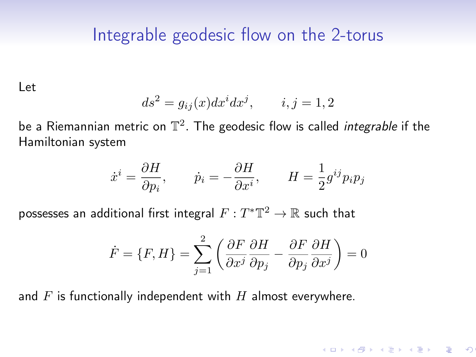# Integrable geodesic flow on the 2-torus

Let

$$
ds^2 = g_{ij}(x)dx^i dx^j, \qquad i, j = 1, 2
$$

be a Riemannian metric on  $\mathbb{T}^2$ . The geodesic flow is called *integrable* if the Hamiltonian system

$$
\dot{x}^i = \frac{\partial H}{\partial p_i},
$$
  $\dot{p}_i = -\frac{\partial H}{\partial x^i},$   $H = \frac{1}{2}g^{ij}p_ip_j$ 

possesses an additional first integral  $F: T^*\mathbb{T}^2 \to \mathbb{R}$  such that

$$
\dot{F} = \{F, H\} = \sum_{j=1}^{2} \left( \frac{\partial F}{\partial x^j} \frac{\partial H}{\partial p_j} - \frac{\partial F}{\partial p_j} \frac{\partial H}{\partial x^j} \right) = 0
$$

**K ロ ▶ K @ ▶ K ミ ▶ K ミ ▶ │ ミ │ り** 

and  $F$  is functionally independent with  $H$  almost everywhere.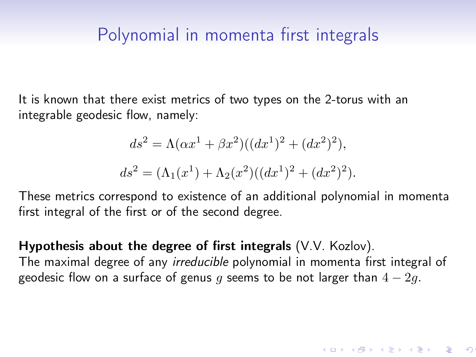# Polynomial in momenta first integrals

It is known that there exist metrics of two types on the 2-torus with an integrable geodesic flow, namely:

$$
ds^{2} = \Lambda(\alpha x^{1} + \beta x^{2})((dx^{1})^{2} + (dx^{2})^{2}),
$$
  
\n
$$
ds^{2} = (\Lambda_{1}(x^{1}) + \Lambda_{2}(x^{2})((dx^{1})^{2} + (dx^{2})^{2}).
$$

These metrics correspond to existence of an additional polynomial in momenta first integral of the first or of the second degree.

Hypothesis about the degree of first integrals (V.V. Kozlov). The maximal degree of any *irreducible* polynomial in momenta first integral of geodesic flow on a surface of genus q seems to be not larger than  $4 - 2q$ .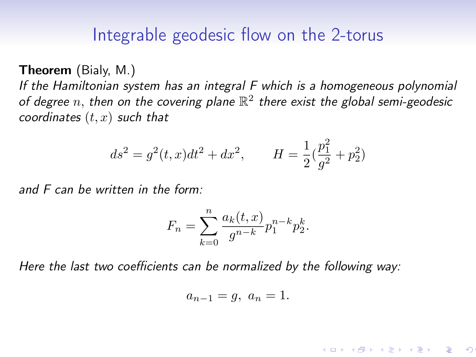## Integrable geodesic flow on the 2-torus

Theorem (Bialy, M.)

If the Hamiltonian system has an integral F which is a homogeneous polynomial of degree n, then on the covering plane  $\mathbb{R}^2$  there exist the global semi-geodesic coordinates  $(t, x)$  such that

$$
ds^{2} = g^{2}(t, x)dt^{2} + dx^{2}, \qquad H = \frac{1}{2}(\frac{p_{1}^{2}}{g^{2}} + p_{2}^{2})
$$

 $\sim$ 

and F can be written in the form:

$$
F_n = \sum_{k=0}^{n} \frac{a_k(t, x)}{g^{n-k}} p_1^{n-k} p_2^k.
$$

Here the last two coefficients can be normalized by the following way:

$$
a_{n-1} = g, \ a_n = 1.
$$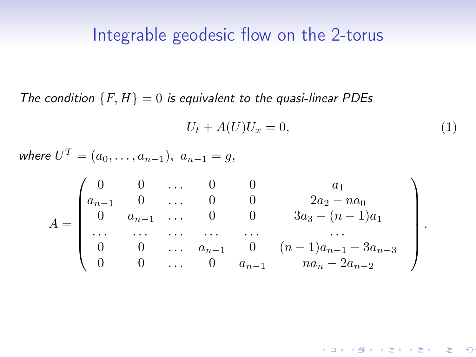#### Integrable geodesic flow on the 2-torus

The condition  $\{F, H\} = 0$  is equivalent to the quasi-linear PDEs

$$
U_t + A(U)U_x = 0,\t\t(1)
$$

.

 $\circ$ 

where  $U^T = (a_0, \ldots, a_{n-1}), a_{n-1} = g,$ 

$$
A = \begin{pmatrix} 0 & 0 & \dots & 0 & 0 & a_1 \\ a_{n-1} & 0 & \dots & 0 & 0 & 2a_2 - na_0 \\ 0 & a_{n-1} & \dots & 0 & 0 & 3a_3 - (n-1)a_1 \\ \dots & \dots & \dots & \dots & \dots & \dots \\ 0 & 0 & \dots & a_{n-1} & 0 & (n-1)a_{n-1} - 3a_{n-3} \\ 0 & 0 & \dots & 0 & a_{n-1} & na_n - 2a_{n-2} \end{pmatrix}
$$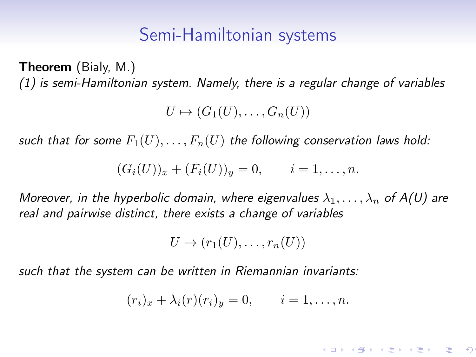## Semi-Hamiltonian systems

Theorem (Bialy, M.) (1) is semi-Hamiltonian system. Namely, there is a regular change of variables

 $U \mapsto (G_1(U), \ldots, G_n(U))$ 

such that for some  $F_1(U), \ldots, F_n(U)$  the following conservation laws hold:

$$
(G_i(U))_x + (F_i(U))_y = 0, \quad i = 1, ..., n.
$$

Moreover, in the hyperbolic domain, where eigenvalues  $\lambda_1, \ldots, \lambda_n$  of A(U) are real and pairwise distinct, there exists a change of variables

$$
U \mapsto (r_1(U), \ldots, r_n(U))
$$

such that the system can be written in Riemannian invariants:

$$
(r_i)_x + \lambda_i(r)(r_i)_y = 0, \qquad i = 1, \ldots, n.
$$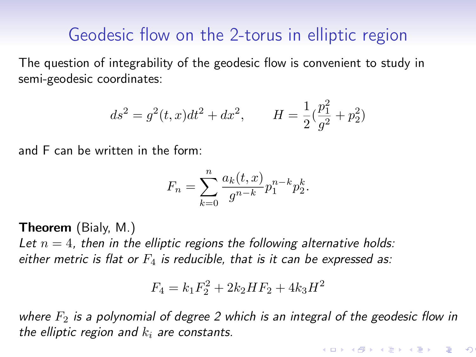# Geodesic flow on the 2-torus in elliptic region

The question of integrability of the geodesic flow is convenient to study in semi-geodesic coordinates:

$$
ds^{2} = g^{2}(t, x)dt^{2} + dx^{2}, \qquad H = \frac{1}{2}(\frac{p_{1}^{2}}{g^{2}} + p_{2}^{2})
$$

and F can be written in the form:

$$
F_n = \sum_{k=0}^{n} \frac{a_k(t, x)}{g^{n-k}} p_1^{n-k} p_2^k.
$$

Theorem (Bialy, M.)

Let  $n = 4$ , then in the elliptic regions the following alternative holds: either metric is flat or  $F_4$  is reducible, that is it can be expressed as:

$$
F_4 = k_1 F_2^2 + 2k_2 H F_2 + 4k_3 H^2
$$

where  $F_2$  is a polynomial of degree 2 which is an integral of the geodesic flow in the elliptic region and  $k_i$  are constants.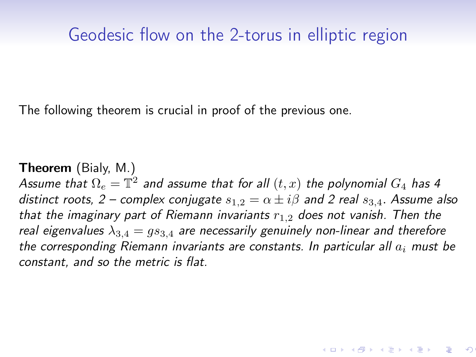# Geodesic flow on the 2-torus in elliptic region

The following theorem is crucial in proof of the previous one.

Theorem (Bialy, M.) Assume that  $\Omega_e = \mathbb{T}^2$  and assume that for all  $(t,x)$  the polynomial  $G_4$  has 4 distinct roots, 2 – complex conjugate  $s_{1,2} = \alpha \pm i\beta$  and 2 real  $s_{3,4}$ . Assume also that the imaginary part of Riemann invariants  $r_{1,2}$  does not vanish. Then the real eigenvalues  $\lambda_{3,4} = gs_{3,4}$  are necessarily genuinely non-linear and therefore the corresponding Riemann invariants are constants. In particular all  $a_i$  must be constant, and so the metric is flat.

<br>K ロ ▶ K @ ▶ K 경 ▶ K 경 ▶ X 경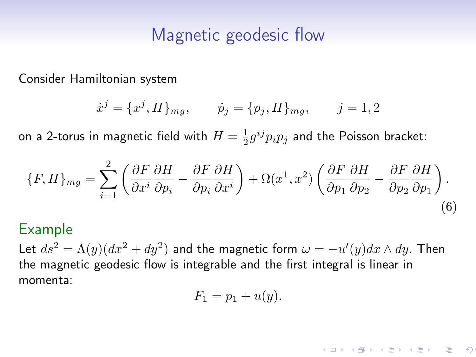# Magnetic geodesic flow

Consider Hamiltonian system

$$
\dot{x}^j = \{x^j, H\}_{mg}, \qquad \dot{p}_j = \{p_j, H\}_{mg}, \qquad j = 1, 2
$$

on a 2-torus in magnetic field with  $H=\frac{1}{2}g^{ij}p_ip_j$  and the Poisson bracket:

$$
\{F, H\}_{mg} = \sum_{i=1}^{2} \left( \frac{\partial F}{\partial x^i} \frac{\partial H}{\partial p_i} - \frac{\partial F}{\partial p_i} \frac{\partial H}{\partial x^i} \right) + \Omega(x^1, x^2) \left( \frac{\partial F}{\partial p_1} \frac{\partial H}{\partial p_2} - \frac{\partial F}{\partial p_2} \frac{\partial H}{\partial p_1} \right). \tag{6}
$$

#### Example

Let  $ds^2 = \Lambda(y) (dx^2 + dy^2)$  and the magnetic form  $\omega = -u'(y) dx \wedge dy$ . Then the magnetic geodesic flow is integrable and the first integral is linear in momenta:

$$
F_1 = p_1 + u(y).
$$

 $\infty$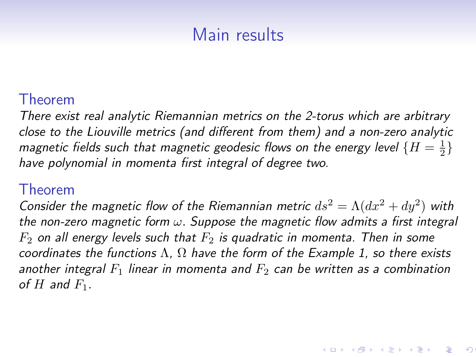# Main results

#### Theorem

There exist real analytic Riemannian metrics on the 2-torus which are arbitrary close to the Liouville metrics (and different from them) and a non-zero analytic magnetic fields such that magnetic geodesic flows on the energy level  $\{H=\frac{1}{2}\}$ have polynomial in momenta first integral of degree two.

#### Theorem

Consider the magnetic flow of the Riemannian metric  $ds^2 = \Lambda (dx^2 + dy^2)$  with the non-zero magnetic form  $\omega$ . Suppose the magnetic flow admits a first integral  $F_2$  on all energy levels such that  $F_2$  is quadratic in momenta. Then in some coordinates the functions  $\Lambda$ ,  $\Omega$  have the form of the Example 1, so there exists another integral  $F_1$  linear in momenta and  $F_2$  can be written as a combination of  $H$  and  $F_1$ .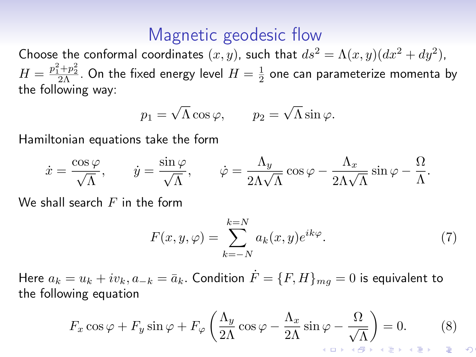#### Magnetic geodesic flow

Choose the conformal coordinates  $(x, y)$ , such that  $ds^2 = \Lambda(x, y)(dx^2 + dy^2)$ ,  $H=\frac{p_1^2+p_2^2}{p_1^2+\cdots p_n^2}$ . On the fixed energy level  $H=\frac{1}{2}$  one can parameterize momenta by the following way:

$$
p_1 = \sqrt{\Lambda} \cos \varphi, \qquad p_2 = \sqrt{\Lambda} \sin \varphi.
$$

Hamiltonian equations take the form

$$
\dot{x} = \frac{\cos \varphi}{\sqrt{\Lambda}}, \qquad \dot{y} = \frac{\sin \varphi}{\sqrt{\Lambda}}, \qquad \dot{\varphi} = \frac{\Lambda_y}{2\Lambda\sqrt{\Lambda}}\cos \varphi - \frac{\Lambda_x}{2\Lambda\sqrt{\Lambda}}\sin \varphi - \frac{\Omega}{\Lambda}.
$$

We shall search  $F$  in the form

$$
F(x, y, \varphi) = \sum_{k=-N}^{k=N} a_k(x, y) e^{ik\varphi}.
$$
 (7)

Here  $a_k = u_k + iv_k$ ,  $a_{-k} = \bar{a}_k$ . Condition  $F = \{F, H\}_{mg} = 0$  is equivalent to the following equation

$$
F_x \cos \varphi + F_y \sin \varphi + F_\varphi \left( \frac{\Lambda_y}{2\Lambda} \cos \varphi - \frac{\Lambda_x}{2\Lambda} \sin \varphi - \frac{\Omega}{\sqrt{\Lambda}} \right) = 0. \tag{8}
$$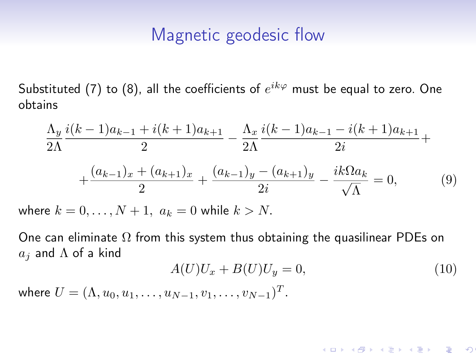# Magnetic geodesic flow

Substituted (7) to (8), all the coefficients of  $e^{ik\varphi}$  must be equal to zero. One obtains

$$
\frac{\Lambda_y}{2\Lambda} \frac{i(k-1)a_{k-1} + i(k+1)a_{k+1}}{2} - \frac{\Lambda_x}{2\Lambda} \frac{i(k-1)a_{k-1} - i(k+1)a_{k+1}}{2i} + \frac{(a_{k-1})_x + (a_{k+1})_x}{2} + \frac{(a_{k-1})_y - (a_{k+1})_y}{2i} - \frac{ik\Omega a_k}{\sqrt{\Lambda}} = 0,
$$
\n(9)

where  $k = 0, \ldots, N + 1, a_k = 0$  while  $k > N$ .

One can eliminate  $\Omega$  from this system thus obtaining the quasilinear PDEs on  $a_j$  and  $\Lambda$  of a kind

$$
A(U)U_x + B(U)U_y = 0,\t\t(10)
$$

where  $U = (\Lambda, u_0, u_1, \ldots, u_{N-1}, v_1, \ldots, v_{N-1})^T$ .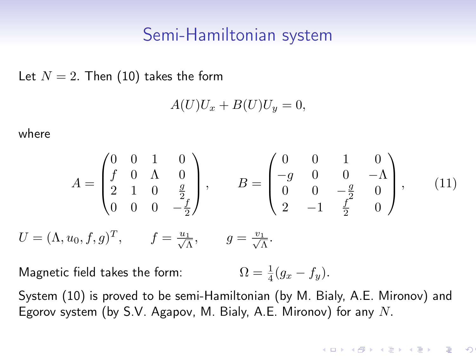#### Semi-Hamiltonian system

Let  $N = 2$ . Then (10) takes the form

$$
A(U)U_x + B(U)U_y = 0,
$$

where

$$
A = \begin{pmatrix} 0 & 0 & 1 & 0 \\ f & 0 & \Lambda & 0 \\ 2 & 1 & 0 & \frac{g}{2} \\ 0 & 0 & 0 & -\frac{f}{2} \end{pmatrix}, \qquad B = \begin{pmatrix} 0 & 0 & 1 & 0 \\ -g & 0 & 0 & -\Lambda \\ 0 & 0 & -\frac{g}{2} & 0 \\ 2 & -1 & \frac{f}{2} & 0 \end{pmatrix}, \qquad (11)
$$

$$
U = (\Lambda, u_0, f, g)^T, \qquad f = \frac{u_1}{\sqrt{\Lambda}}, \qquad g = \frac{v_1}{\sqrt{\Lambda}}.
$$

Magnetic field takes the form:  $rac{1}{4}(g_x - f_y).$ 

System (10) is proved to be semi-Hamiltonian (by M. Bialy, A.E. Mironov) and Egorov system (by S.V. Agapov, M. Bialy, A.E. Mironov) for any  $N$ .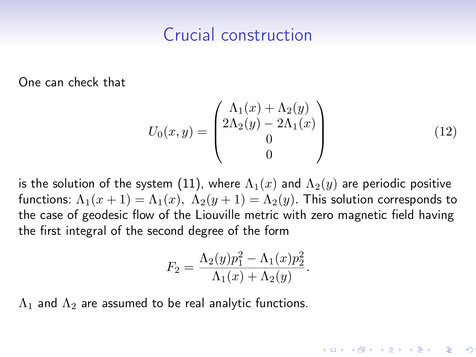# Crucial construction

One can check that

$$
U_0(x,y) = \begin{pmatrix} \Lambda_1(x) + \Lambda_2(y) \\ 2\Lambda_2(y) - 2\Lambda_1(x) \\ 0 \\ 0 \end{pmatrix}
$$
 (12)

is the solution of the system (11), where  $\Lambda_1(x)$  and  $\Lambda_2(y)$  are periodic positive functions:  $\Lambda_1(x+1) = \Lambda_1(x)$ ,  $\Lambda_2(y+1) = \Lambda_2(y)$ . This solution corresponds to the case of geodesic flow of the Liouville metric with zero magnetic field having the first integral of the second degree of the form

$$
F_2 = \frac{\Lambda_2(y)p_1^2 - \Lambda_1(x)p_2^2}{\Lambda_1(x) + \Lambda_2(y)}.
$$

 $\Lambda_1$  and  $\Lambda_2$  are assumed to be real analytic functions.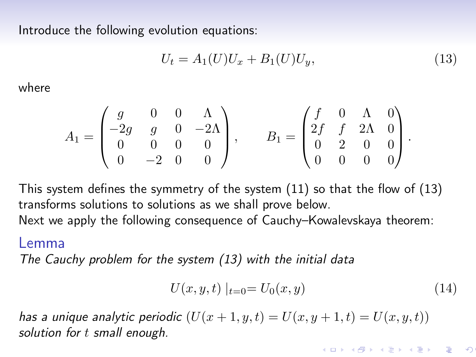Introduce the following evolution equations:

$$
U_t = A_1(U)U_x + B_1(U)U_y,
$$
\n(13)

where

$$
A_1 = \begin{pmatrix} g & 0 & 0 & \Lambda \\ -2g & g & 0 & -2\Lambda \\ 0 & 0 & 0 & 0 \\ 0 & -2 & 0 & 0 \end{pmatrix}, \qquad B_1 = \begin{pmatrix} f & 0 & \Lambda & 0 \\ 2f & f & 2\Lambda & 0 \\ 0 & 2 & 0 & 0 \\ 0 & 0 & 0 & 0 \end{pmatrix}.
$$

This system defines the symmetry of the system (11) so that the flow of (13) transforms solutions to solutions as we shall prove below.

Next we apply the following consequence of Cauchy–Kowalevskaya theorem:

#### Lemma

The Cauchy problem for the system (13) with the initial data

$$
U(x, y, t) |_{t=0} = U_0(x, y)
$$
\n(14)

has a unique analytic periodic  $(U(x + 1, y, t) = U(x, y + 1, t) = U(x, u, t))$ solution for t small enough.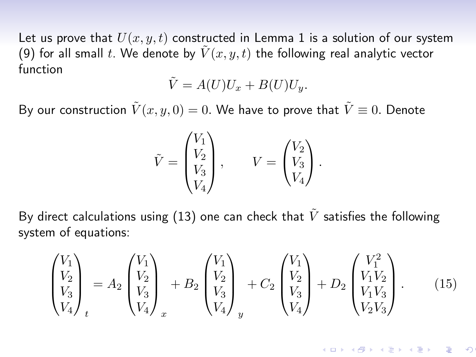Let us prove that  $U(x, y, t)$  constructed in Lemma 1 is a solution of our system (9) for all small t. We denote by  $\tilde{V}(x, y, t)$  the following real analytic vector function

$$
\tilde{V} = A(U)U_x + B(U)U_y.
$$

By our construction  $\tilde{V}(x, y, 0) = 0$ . We have to prove that  $\tilde{V} \equiv 0$ . Denote

$$
\tilde{V} = \begin{pmatrix} V_1 \\ V_2 \\ V_3 \\ V_4 \end{pmatrix}, \qquad V = \begin{pmatrix} V_2 \\ V_3 \\ V_4 \end{pmatrix}.
$$

By direct calculations using (13) one can check that  $\tilde{V}$  satisfies the following system of equations:

$$
\begin{pmatrix} V_1 \\ V_2 \\ V_3 \\ V_4 \end{pmatrix}_t = A_2 \begin{pmatrix} V_1 \\ V_2 \\ V_3 \\ V_4 \end{pmatrix}_x + B_2 \begin{pmatrix} V_1 \\ V_2 \\ V_3 \\ V_4 \end{pmatrix}_y + C_2 \begin{pmatrix} V_1 \\ V_2 \\ V_3 \\ V_4 \end{pmatrix} + D_2 \begin{pmatrix} V_1^2 \\ V_1 V_2 \\ V_1 V_3 \\ V_2 V_3 \end{pmatrix} . \tag{15}
$$

.<br>K ロ X (*団* X ( ) K ( ) X ( ) X () ) )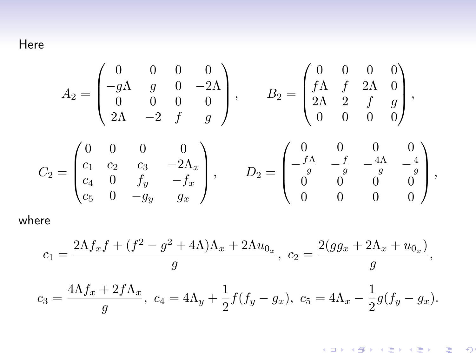Here

$$
A_2 = \begin{pmatrix} 0 & 0 & 0 & 0 \\ -g\Lambda & g & 0 & -2\Lambda \\ 0 & 0 & 0 & 0 \\ 2\Lambda & -2 & f & g \end{pmatrix}, \qquad B_2 = \begin{pmatrix} 0 & 0 & 0 & 0 \\ f\Lambda & f & 2\Lambda & 0 \\ 2\Lambda & 2 & f & g \\ 0 & 0 & 0 & 0 \end{pmatrix},
$$

$$
C_2 = \begin{pmatrix} 0 & 0 & 0 & 0 \\ c_1 & c_2 & c_3 & -2\Lambda_x \\ c_4 & 0 & f_y & -f_x \\ c_5 & 0 & -g_y & g_x \end{pmatrix}, \qquad D_2 = \begin{pmatrix} 0 & 0 & 0 & 0 \\ -\frac{f\Lambda}{g} & -\frac{f}{g} & -\frac{4\Lambda}{g} & -\frac{4}{g} \\ 0 & 0 & 0 & 0 \\ 0 & 0 & 0 & 0 \end{pmatrix},
$$

where

$$
c_1 = \frac{2\Lambda f_x f + (f^2 - g^2 + 4\Lambda)\Lambda_x + 2\Lambda u_{0_x}}{g}, \ c_2 = \frac{2(gg_x + 2\Lambda_x + u_{0_x})}{g},
$$
  

$$
c_3 = \frac{4\Lambda f_x + 2f\Lambda_x}{g}, \ c_4 = 4\Lambda_y + \frac{1}{2}f(f_y - g_x), \ c_5 = 4\Lambda_x - \frac{1}{2}g(f_y - g_x).
$$

K ロ K イ団 K K モ K K モ K Y D → 「 モ | イ ヨ K Y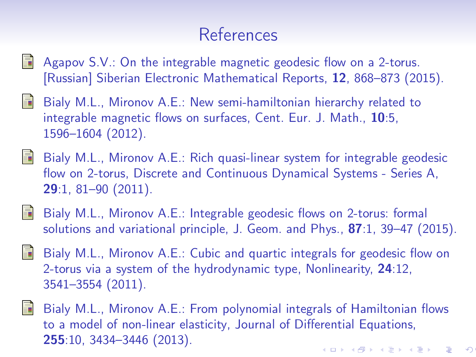# References

- Agapov S.V.: On the integrable magnetic geodesic flow on a 2-torus. [Russian] Siberian Electronic Mathematical Reports, 12, 868–873 (2015).
- F. Bialy M.L., Mironov A.E.: New semi-hamiltonian hierarchy related to integrable magnetic flows on surfaces, Cent. Eur. J. Math., 10:5, 1596–1604 (2012).
- 量 Bialy M.L., Mironov A.E.: Rich quasi-linear system for integrable geodesic flow on 2-torus, Discrete and Continuous Dynamical Systems - Series A, 29:1, 81–90 (2011).
- Bialy M.L., Mironov A.E.: Integrable geodesic flows on 2-torus: formal 聶 solutions and variational principle, J. Geom. and Phys., 87:1, 39–47 (2015).
- F Bialy M.L., Mironov A.E.: Cubic and quartic integrals for geodesic flow on 2-torus via a system of the hydrodynamic type, Nonlinearity, 24:12, 3541–3554 (2011).
- Bialy M.L., Mironov A.E.: From polynomial integrals of Hamiltonian flows to a model of non-linear elasticity, Journal of Differential Equations, 255:10, 3434–3446 (2013).